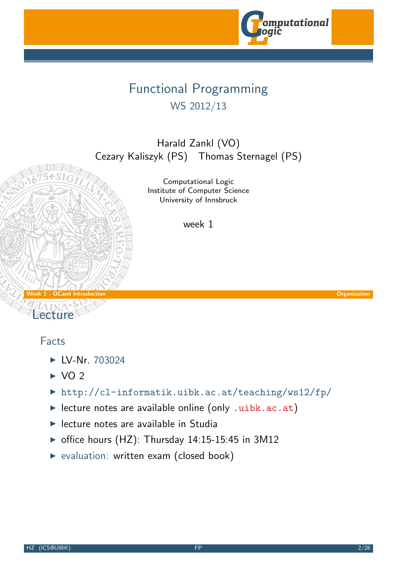

# Functional Programming WS 2012/13

Harald Zankl (VO) Cezary Kaliszyk (PS) Thomas Sternagel (PS)

> Computational Logic Institute of Computer Science University of Innsbruck

> > week 1

Week 1 - OCaml Introduction Communication Communication Communication Communication Communication Communication

Lecture

#### Facts

- $\blacktriangleright$  IV-Nr. 703024
- $\triangleright$  VO 2
- ▶ http://cl-infor[matik.uibk.ac](http://cl-informatik.uibk.ac.at).at/teaching/ws12/fp/
- $\blacktriangleright$  lecture notes are available online (only .uibk.ac.at)
- $\blacktriangleright$  [lec](http://orawww.uibk.ac.at/public_prod/owa/lfuonline_lv.details?sem_id_in=12W&lvnr_id_in=703024)ture notes are available in Studia
- $\triangleright$  office hours (HZ): Thursday 14:15-15:45 in 3M12
- <span id="page-0-0"></span> $\triangleright$  evaluation: [written exam \(closed bo](http://cl-informatik.uibk.ac.at/teaching/ws12/fp/)ok)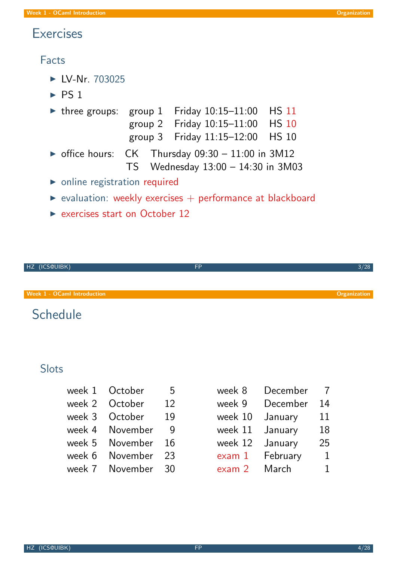### **Exercises**

#### Facts

- $\blacktriangleright$  LV-Nr. 703025
- $\triangleright$  PS 1
- $\triangleright$  three groups: group 1 Friday 10:15-11:00 HS 11 group 2 Friday 10:15–11:00 HS 10 group 3 Friday 11:15–12:00 HS 10  $\triangleright$  office hours: CK Thursday 09:30 - 11:00 in 3M12 TS Wednesday 13:00 – 14:30 in 3M03
- $\triangleright$  online registration required
- $\triangleright$  evaluation: weekly exercises  $+$  performance at blackboard
- $\triangleright$  exercises start on October 12



**Schedule** 

### **Slots**

- week 1  $October 5$
- week 2 October 12
- week 3 October 19
- [w](http://orawww.uibk.ac.at/public_prod/owa/lfuonline_lv.details?sem_id_in=11W&lvnr_id_in=703025)eek 4 November 9
- week 5 November 16
- week  $6$  November 23
- week 7 November 30

| week 8  | December |    |
|---------|----------|----|
| week 9  | December | 14 |
| week 10 | January  | 11 |
| week 11 | January  | 18 |
| week 12 | January  | 25 |
| exam1   | February | 1  |
| exam 2  | March    | 1  |
|         |          |    |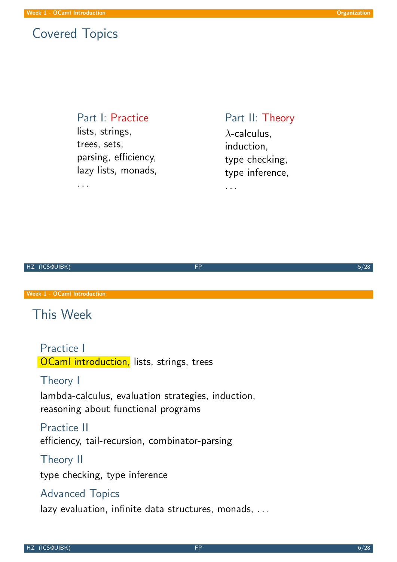### Covered Topics

. . .

#### Part I: Practice

lists, strings, trees, sets, parsing, efficiency, lazy lists, monads,

### Part II: Theory  $\lambda$ -calculus. induction, type checking,

type inference,

. . .

| HZ (ICS@UIBK) |  |
|---------------|--|
|               |  |

Week 1 - OCaml Introduction

# This Week

Practice I **OCaml introduction, lists, strings, trees** 

#### [The](#page-0-0)ory I

lambda-calculus, evaluation strategies, induction, reasoning about functional programs

#### Practice II efficiency, tail-recursion, combinator-parsing

#### Theory II

type checking, type inference

#### Advanced Topics

lazy evaluation, infinite data structures, monads, ...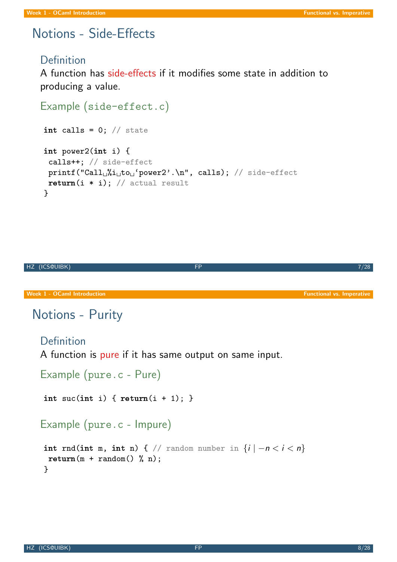# Notions - Side-Effects

#### **Definition**

A function has side-effects if it modifies some state in addition to producing a value.

```
Example (side-effect.c)
 int calls = 0; // state
 int power2(int i) {
  calls++; // side-effect
 print("Call<sub>u</sub>Y<sub>i</sub>to<sub>u</sub>'power2'.\n', calls); // side-effectreturn(i * i); // actual result}
```
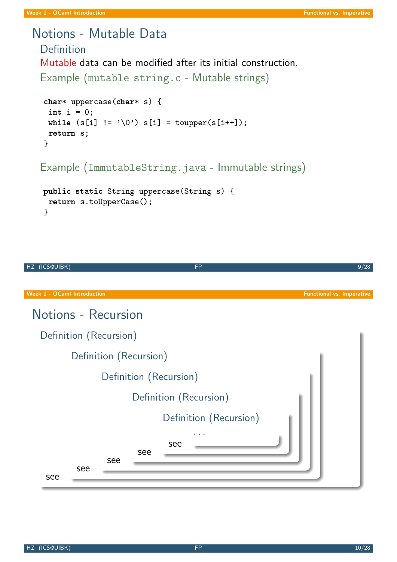# Notions - Mutable Data

Definition Mutable data can be modified after its initial construction. Example (mutable\_string.c - Mutable strings)

```
char* uppercase(char* s) {
 int i = 0;
while (s[i] := ' \ 0') s[i] = \text{topper}(s[i++]);return s;
}
```
Example (ImmutableString.java - Immutable strings)

```
public static String uppercase(String s) {
 return s.toUpperCase();
}
```
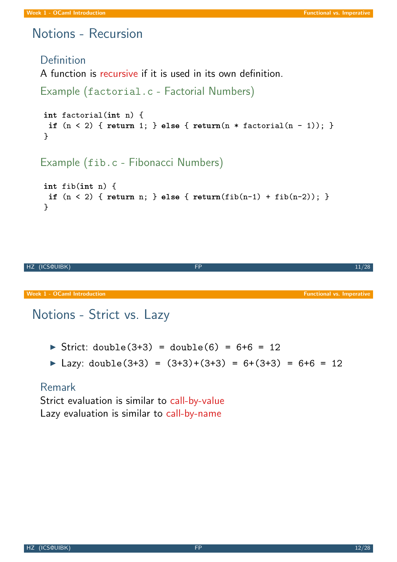# Notions - Recursion

# **Definition** A function is recursive if it is used in its own definition. Example (factorial.c - Factorial Numbers) int factorial(int n) { if  $(n < 2)$  { return 1; } else { return $(n * factorial(n - 1));$  } } Example (fib.c - Fibonacci Numbers) int fib(int n) {

```
if (n < 2) { return n; } else { return(fib(n-1) + fib(n-2)); }
}
```


# Notions - Strict vs. Lazy

- $\triangleright$  Strict: double(3+3) = double(6) = 6+6 = 12
- ▶ Lazy: double(3+3) =  $(3+3)+(3+3) = 6+(3+3) = 6+6 = 12$

### [Rem](#page-0-0)ark

Strict evaluation is similar to call-by-value Lazy evaluation is similar to call-by-name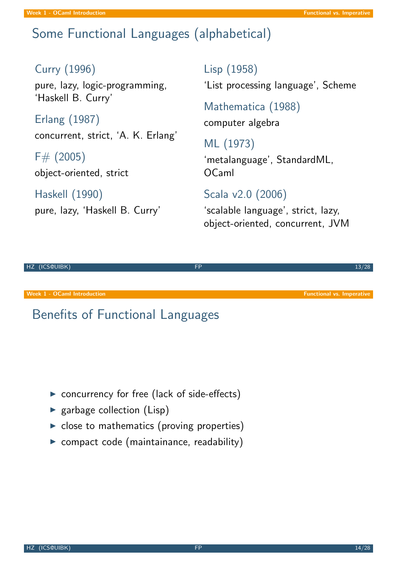#### Week 1 - OCaml Introduction **Function** Functional vs. Imperative

# Some Functional Languages (alphabetical)

#### Curry (1996)

pure, lazy, logic-programming, 'Haskell B. Curry'

Erlang (1987) concurrent, strict, 'A. K. Erlang'

 $F# (2005)$ object-oriented, strict

Haskell (1990)

pure, lazy, 'Haskell B. Curry'

Lisp (1958)

'List processing language', Scheme

Mathematica (1988) computer algebra

ML (1973)

'metalanguage', StandardML, OCaml

Scala v2.0 (2006)

'scalable language', strict, lazy, object-oriented, concurrent, JVM



# Benefits of Functional Languages

- $\triangleright$  concurrency for free (lack of side-effects)
- $\blacktriangleright$  garbage collection (Lisp)
- $\triangleright$  close to mathematics (proving properties)
- $\triangleright$  compact code (maintainance, readability)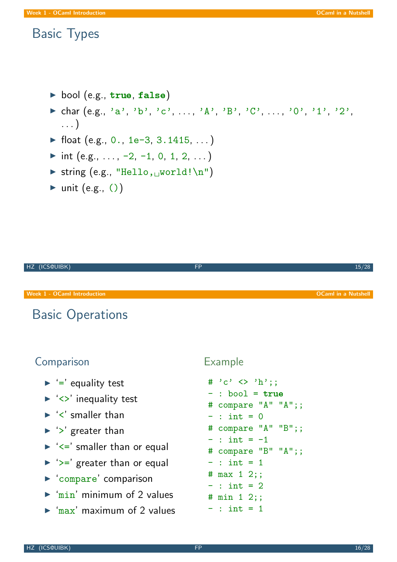### Basic Types

- bool (e.g.,  $true, false)$
- $\triangleright$  char (e.g., 'a', 'b', 'c', ..., 'A', 'B', 'C', ..., '0', '1', '2', . . . )
- $\blacktriangleright$  float (e.g., 0., 1e-3, 3.1415, ...)
- int (e.g.,  $\dots$ , -2, -1, 0, 1, 2,  $\dots$ )
- $\triangleright$  string (e.g., "Hello,  $\cup$ world!\n")
- $\blacktriangleright$  unit (e.g., ())



### **Comparison**

- $\blacktriangleright$  '=' equality test
- $\blacktriangleright$  ' $\lt\rightharpoonup$ ' inequality test
- $\blacktriangleright$  ' $\lt'$ ' smaller than
- $\blacktriangleright$  '>' greater than
- $\blacktriangleright$  ' $\lt =$ ' smaller than or equal
- $\triangleright$  ' $\geq$  greater than or equal
- $\blacktriangleright$  'compare' comparison
- $\triangleright$  'min' minimum of 2 values
- $\triangleright$  'max' maximum of 2 values

#### Example

<span id="page-7-0"></span> $\#$  'c'  $\langle$  'h';;  $-$  : bool =  $true$ # compare "A" "A";;  $-$  : int = 0 # compare "A" "B";;  $-$  : int =  $-1$ # compare "B" "A";;  $-$  : int = 1 # max 1 2;;  $-$  : int = 2 # min 1 2;;  $-$  : int = 1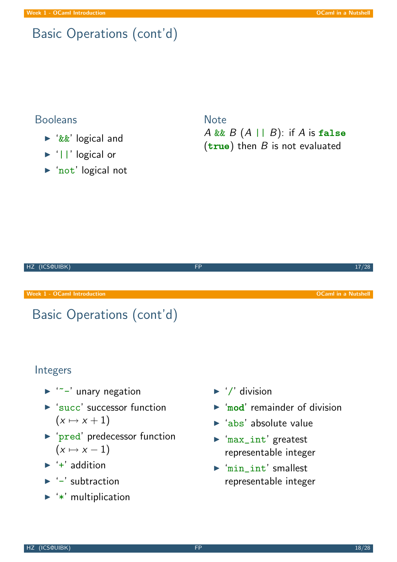# Basic Operations (cont'd)

#### Booleans

- ▶ '&&' logical and
- ▶ '||' logical or
- ▶ 'not' logical not

**Note** A && B  $(A \mid B)$ : if A is false  $(true)$  then  $B$  is not evaluated



### Integers

- $\blacktriangleright$  ' $\sim$ -' unary negation
- $\blacktriangleright$  'succ' successor function  $(x \mapsto x + 1)$
- **P** 'pred' predecessor function  $(x \mapsto x - 1)$
- $\rightarrow$  '+' addition
- $\blacktriangleright$  '-' subtraction
- $\blacktriangleright$  '\*' multiplication
- $\blacktriangleright$  '/' division
- $\triangleright$  'mod' remainder of division
- $\blacktriangleright$  'abs' absolute value
- $\blacktriangleright$  'max\_int' greatest representable integer
- $\blacktriangleright$  'min\_int' smallest representable integer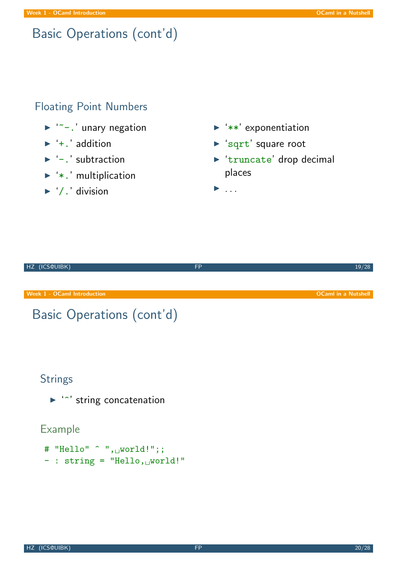# Basic Operations (cont'd)

### Floating Point Numbers

- $\blacktriangleright$  '~-.' unary negation
- $\blacktriangleright$  '+.' addition
- $\blacktriangleright$  '-.' subtraction
- $\blacktriangleright$  '\*.' multiplication
- $\blacktriangleright$  '/.' division
- $\blacktriangleright$  '\*\*' exponentiation
- ▶ 'sqrt' square root
- $\triangleright$  'truncate' drop decimal places

<sup>I</sup> . . .

| HZ (ICS@UIBK)                                | <b>FP</b> | 19/28                      |
|----------------------------------------------|-----------|----------------------------|
|                                              |           |                            |
| <b>Week 1 - OCaml Introduction</b>           |           | <b>OCaml in a Nutshell</b> |
| Basic Operations (cont'd)                    |           |                            |
|                                              |           |                            |
|                                              |           |                            |
| <b>Strings</b>                               |           |                            |
| $\blacktriangleright$ " string concatenation |           |                            |

### Example

# "Hello" ^ ", world!";;  $-$  : string = "Hello, world!"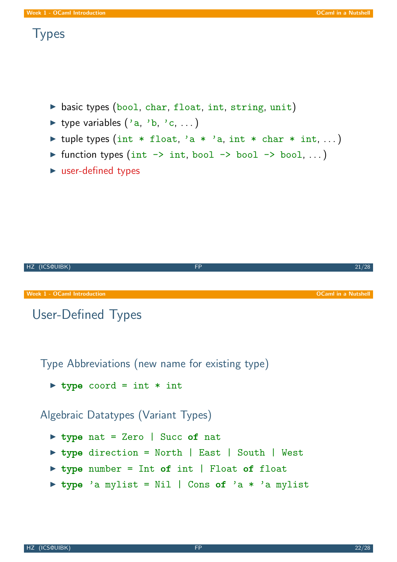### **Types**

- $\triangleright$  basic types (bool, char, float, int, string, unit)
- ▶ type variables  $('a, 'b, 'c, ...)$
- If tuple types (int \* float, 'a \* 'a, int \* char \* int, ...)
- If function types (int  $\rightarrow$  int, bool  $\rightarrow$  bool  $\rightarrow$  bool, ...)
- $\blacktriangleright$  user-defined types



Type Abbreviations (new name for existing type)

 $\triangleright$  type coord = int \* int

Algebraic Datatypes (Variant Types)

- ▶ type nat = Zero | Succ of nat
- ▶ type direction = North | East | South | West
- $\triangleright$  type number = Int of int | Float of float
- $\triangleright$  type 'a mylist = Nil | Cons of 'a \* 'a mylist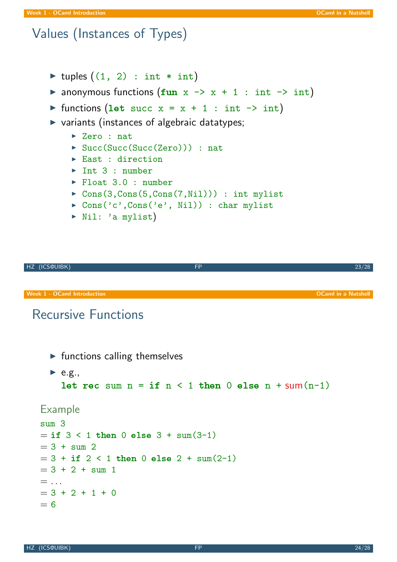# Values (Instances of Types)

- $\triangleright$  tuples  $((1, 2) : int * int)$
- anonymous functions  $(fun x \rightarrow x + 1 : int \rightarrow int)$
- In functions (let succ  $x = x + 1$  : int  $\rightarrow$  int)
- $\triangleright$  variants (instances of algebraic datatypes;
	- $\blacktriangleright$  Zero : nat.
	- ▶ Succ(Succ(Succ(Zero))) : nat
	- $\blacktriangleright$  East : direction
	- $\blacktriangleright$  Int 3 : number
	- Float 3.0 : number
	- $\triangleright$  Cons(3, Cons(5, Cons(7, Nil))) : int mylist
	- $\triangleright$  Cons('c',Cons('e', Nil)) : char mylist
	- $\triangleright$  Nil: 'a mylist)

HZ (ICS@UIBK) FP 23/28

Week 1 - OCaml Introduction **OCAML in a Nutshell** and Camera Controller and Camera Controller and OCAML in a Nutshell

### Recursive Functions

 $\blacktriangleright$  functions calling themselves

```
\blacktriangleright e.g.,
  let rec sum then 0 else n + sum(n-1)
```
#### Example

```
sum 3
= if 3 < 1 then 0 else 3 + \text{sum}(3-1)= 3 + \text{sum } 2= 3 + if 2 < 1 then 0 else 2 + sum(2-1)= 3 + 2 + \text{sum} 1= ...
= 3 + 2 + 1 + 0= 6
```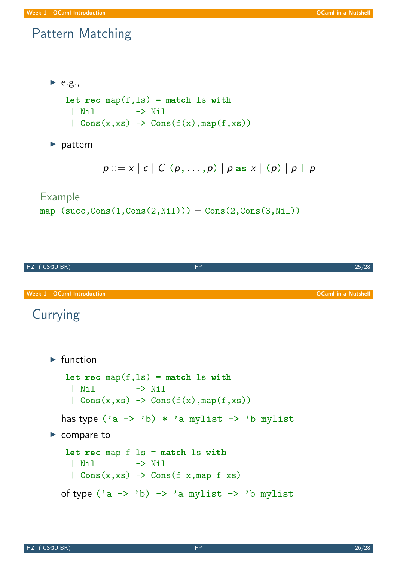### Pattern Matching

```
\blacktriangleright e.g.,
   let rec map(f, ls) = match ls with| Nil -> Nil
     | Cons(x,xs) \rightarrow Cons(f(x),map(f,xs))
```
 $\blacktriangleright$  pattern

 $p ::= x | c | C (p, ..., p) | p$  as  $x | (p) | p | p$ 

#### Example

map  $(succ, Cons(1,Cons(2,Nil))) = Cons(2,Cons(3,Nil))$ 



# Currying

```
\blacktriangleright function
    let rec map(f, ls) = match ls with| Nil -> Nil
     | Cons(x, xs) \rightarrow Cons(f(x), map(f, xs))has type ('a \rightarrow 'b) * 'a mylist \rightarrow 'b mylist
\blacktriangleright compare to
    let rec map f ls = match ls with
     | Nil -> Nil
     | Cons(x,xs) \rightarrow Cons(f x,map f xs)
  of type ('a \rightarrow 'b) \rightarrow 'a mylist \rightarrow 'b mylist
```